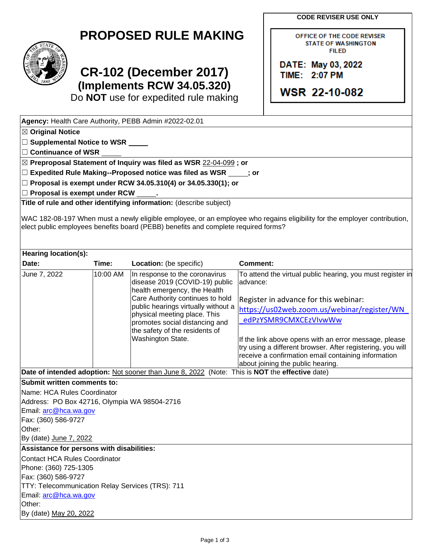**CODE REVISER USE ONLY**

OFFICE OF THE CODE REVISER **STATE OF WASHINGTON FILED** 

DATE: May 03, 2022 **TIME: 2:07 PM** 

**WSR 22-10-082** 

## **PROPOSED RULE MAKING**



## **CR-102 (December 2017) (Implements RCW 34.05.320)**

Do **NOT** use for expedited rule making

|                                                                                                                                                   |          | Agency: Health Care Authority, PEBB Admin #2022-02.01                                          |                                                                                                                           |  |  |  |  |                                                                                                                                                    |  |  |  |  |  |  |  |  |
|---------------------------------------------------------------------------------------------------------------------------------------------------|----------|------------------------------------------------------------------------------------------------|---------------------------------------------------------------------------------------------------------------------------|--|--|--|--|----------------------------------------------------------------------------------------------------------------------------------------------------|--|--|--|--|--|--|--|--|
| $\boxtimes$ Original Notice                                                                                                                       |          |                                                                                                |                                                                                                                           |  |  |  |  |                                                                                                                                                    |  |  |  |  |  |  |  |  |
| □ Supplemental Notice to WSR _____<br>□ Continuance of WSR <u>____</u> _____<br>⊠ Preproposal Statement of Inquiry was filed as WSR 22-04-099; or |          |                                                                                                |                                                                                                                           |  |  |  |  |                                                                                                                                                    |  |  |  |  |  |  |  |  |
|                                                                                                                                                   |          |                                                                                                |                                                                                                                           |  |  |  |  | $\Box$ Expedited Rule Making--Proposed notice was filed as WSR $\Box$ ; or<br>$\Box$ Proposal is exempt under RCW 34.05.310(4) or 34.05.330(1); or |  |  |  |  |  |  |  |  |
|                                                                                                                                                   |          |                                                                                                |                                                                                                                           |  |  |  |  |                                                                                                                                                    |  |  |  |  |  |  |  |  |
|                                                                                                                                                   |          | Title of rule and other identifying information: (describe subject)                            |                                                                                                                           |  |  |  |  |                                                                                                                                                    |  |  |  |  |  |  |  |  |
|                                                                                                                                                   |          |                                                                                                |                                                                                                                           |  |  |  |  |                                                                                                                                                    |  |  |  |  |  |  |  |  |
|                                                                                                                                                   |          | elect public employees benefits board (PEBB) benefits and complete required forms?             | WAC 182-08-197 When must a newly eligible employee, or an employee who regains eligibility for the employer contribution, |  |  |  |  |                                                                                                                                                    |  |  |  |  |  |  |  |  |
|                                                                                                                                                   |          |                                                                                                |                                                                                                                           |  |  |  |  |                                                                                                                                                    |  |  |  |  |  |  |  |  |
| <b>Hearing location(s):</b>                                                                                                                       |          |                                                                                                |                                                                                                                           |  |  |  |  |                                                                                                                                                    |  |  |  |  |  |  |  |  |
| Date:                                                                                                                                             | Time:    | Location: (be specific)                                                                        | Comment:                                                                                                                  |  |  |  |  |                                                                                                                                                    |  |  |  |  |  |  |  |  |
| June 7, 2022                                                                                                                                      | 10:00 AM | In response to the coronavirus<br>disease 2019 (COVID-19) public                               | To attend the virtual public hearing, you must register in<br>advance:                                                    |  |  |  |  |                                                                                                                                                    |  |  |  |  |  |  |  |  |
|                                                                                                                                                   |          | health emergency, the Health<br>Care Authority continues to hold                               | Register in advance for this webinar:                                                                                     |  |  |  |  |                                                                                                                                                    |  |  |  |  |  |  |  |  |
|                                                                                                                                                   |          | public hearings virtually without a                                                            |                                                                                                                           |  |  |  |  |                                                                                                                                                    |  |  |  |  |  |  |  |  |
|                                                                                                                                                   |          | physical meeting place. This                                                                   | https://us02web.zoom.us/webinar/register/WN                                                                               |  |  |  |  |                                                                                                                                                    |  |  |  |  |  |  |  |  |
|                                                                                                                                                   |          | promotes social distancing and                                                                 | edPzYSMR9CMXCEzVIvwWw                                                                                                     |  |  |  |  |                                                                                                                                                    |  |  |  |  |  |  |  |  |
|                                                                                                                                                   |          | the safety of the residents of                                                                 |                                                                                                                           |  |  |  |  |                                                                                                                                                    |  |  |  |  |  |  |  |  |
|                                                                                                                                                   |          | Washington State.                                                                              | If the link above opens with an error message, please<br>try using a different browser. After registering, you will       |  |  |  |  |                                                                                                                                                    |  |  |  |  |  |  |  |  |
|                                                                                                                                                   |          |                                                                                                | receive a confirmation email containing information                                                                       |  |  |  |  |                                                                                                                                                    |  |  |  |  |  |  |  |  |
|                                                                                                                                                   |          |                                                                                                | about joining the public hearing.                                                                                         |  |  |  |  |                                                                                                                                                    |  |  |  |  |  |  |  |  |
|                                                                                                                                                   |          | Date of intended adoption: Not sooner than June 8, 2022 (Note: This is NOT the effective date) |                                                                                                                           |  |  |  |  |                                                                                                                                                    |  |  |  |  |  |  |  |  |
| Submit written comments to:                                                                                                                       |          |                                                                                                |                                                                                                                           |  |  |  |  |                                                                                                                                                    |  |  |  |  |  |  |  |  |
| Name: HCA Rules Coordinator                                                                                                                       |          |                                                                                                |                                                                                                                           |  |  |  |  |                                                                                                                                                    |  |  |  |  |  |  |  |  |
| Address: PO Box 42716, Olympia WA 98504-2716                                                                                                      |          |                                                                                                |                                                                                                                           |  |  |  |  |                                                                                                                                                    |  |  |  |  |  |  |  |  |
| Email: arc@hca.wa.gov                                                                                                                             |          |                                                                                                |                                                                                                                           |  |  |  |  |                                                                                                                                                    |  |  |  |  |  |  |  |  |
| Fax: (360) 586-9727                                                                                                                               |          |                                                                                                |                                                                                                                           |  |  |  |  |                                                                                                                                                    |  |  |  |  |  |  |  |  |
| Other:                                                                                                                                            |          |                                                                                                |                                                                                                                           |  |  |  |  |                                                                                                                                                    |  |  |  |  |  |  |  |  |
| By (date) June 7, 2022                                                                                                                            |          |                                                                                                |                                                                                                                           |  |  |  |  |                                                                                                                                                    |  |  |  |  |  |  |  |  |
| Assistance for persons with disabilities:                                                                                                         |          |                                                                                                |                                                                                                                           |  |  |  |  |                                                                                                                                                    |  |  |  |  |  |  |  |  |
| <b>Contact HCA Rules Coordinator</b>                                                                                                              |          |                                                                                                |                                                                                                                           |  |  |  |  |                                                                                                                                                    |  |  |  |  |  |  |  |  |
| Phone: (360) 725-1305                                                                                                                             |          |                                                                                                |                                                                                                                           |  |  |  |  |                                                                                                                                                    |  |  |  |  |  |  |  |  |
| Fax: (360) 586-9727                                                                                                                               |          |                                                                                                |                                                                                                                           |  |  |  |  |                                                                                                                                                    |  |  |  |  |  |  |  |  |
| TTY: Telecommunication Relay Services (TRS): 711                                                                                                  |          |                                                                                                |                                                                                                                           |  |  |  |  |                                                                                                                                                    |  |  |  |  |  |  |  |  |
| Email: arc@hca.wa.gov                                                                                                                             |          |                                                                                                |                                                                                                                           |  |  |  |  |                                                                                                                                                    |  |  |  |  |  |  |  |  |
| Other:                                                                                                                                            |          |                                                                                                |                                                                                                                           |  |  |  |  |                                                                                                                                                    |  |  |  |  |  |  |  |  |
| By (date) May 20, 2022                                                                                                                            |          |                                                                                                |                                                                                                                           |  |  |  |  |                                                                                                                                                    |  |  |  |  |  |  |  |  |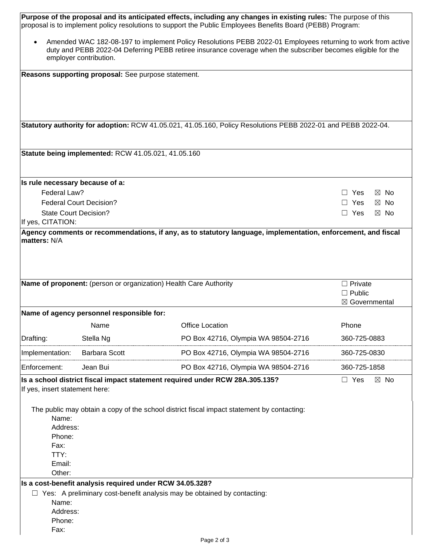| Purpose of the proposal and its anticipated effects, including any changes in existing rules: The purpose of this<br>proposal is to implement policy resolutions to support the Public Employees Benefits Board (PEBB) Program:                       |                                                     |                                                                                                               |                              |  |  |  |  |
|-------------------------------------------------------------------------------------------------------------------------------------------------------------------------------------------------------------------------------------------------------|-----------------------------------------------------|---------------------------------------------------------------------------------------------------------------|------------------------------|--|--|--|--|
| Amended WAC 182-08-197 to implement Policy Resolutions PEBB 2022-01 Employees returning to work from active<br>duty and PEBB 2022-04 Deferring PEBB retiree insurance coverage when the subscriber becomes eligible for the<br>employer contribution. |                                                     |                                                                                                               |                              |  |  |  |  |
|                                                                                                                                                                                                                                                       | Reasons supporting proposal: See purpose statement. |                                                                                                               |                              |  |  |  |  |
|                                                                                                                                                                                                                                                       |                                                     |                                                                                                               |                              |  |  |  |  |
|                                                                                                                                                                                                                                                       |                                                     |                                                                                                               |                              |  |  |  |  |
|                                                                                                                                                                                                                                                       |                                                     | Statutory authority for adoption: RCW 41.05.021, 41.05.160, Policy Resolutions PEBB 2022-01 and PEBB 2022-04. |                              |  |  |  |  |
|                                                                                                                                                                                                                                                       |                                                     |                                                                                                               |                              |  |  |  |  |
|                                                                                                                                                                                                                                                       | Statute being implemented: RCW 41.05.021, 41.05.160 |                                                                                                               |                              |  |  |  |  |
| Is rule necessary because of a:                                                                                                                                                                                                                       |                                                     |                                                                                                               |                              |  |  |  |  |
| Federal Law?                                                                                                                                                                                                                                          |                                                     |                                                                                                               | Yes<br>$\boxtimes$ No        |  |  |  |  |
|                                                                                                                                                                                                                                                       | <b>Federal Court Decision?</b>                      |                                                                                                               | $\Box$ Yes<br>$\boxtimes$ No |  |  |  |  |
| <b>State Court Decision?</b>                                                                                                                                                                                                                          |                                                     |                                                                                                               | $\Box$ Yes<br>$\boxtimes$ No |  |  |  |  |
| If yes, CITATION:                                                                                                                                                                                                                                     |                                                     |                                                                                                               |                              |  |  |  |  |
| matters: N/A                                                                                                                                                                                                                                          |                                                     | Agency comments or recommendations, if any, as to statutory language, implementation, enforcement, and fiscal |                              |  |  |  |  |
|                                                                                                                                                                                                                                                       |                                                     |                                                                                                               |                              |  |  |  |  |
|                                                                                                                                                                                                                                                       |                                                     |                                                                                                               |                              |  |  |  |  |
|                                                                                                                                                                                                                                                       |                                                     | Name of proponent: (person or organization) Health Care Authority                                             | $\Box$ Private               |  |  |  |  |
|                                                                                                                                                                                                                                                       |                                                     |                                                                                                               | $\Box$ Public                |  |  |  |  |
|                                                                                                                                                                                                                                                       |                                                     |                                                                                                               | ⊠ Governmental               |  |  |  |  |
|                                                                                                                                                                                                                                                       | Name of agency personnel responsible for:           |                                                                                                               |                              |  |  |  |  |
|                                                                                                                                                                                                                                                       | Name                                                | Office Location                                                                                               | Phone                        |  |  |  |  |
| Drafting:                                                                                                                                                                                                                                             | Stella Ng                                           | PO Box 42716, Olympia WA 98504-2716                                                                           | 360-725-0883                 |  |  |  |  |
| Implementation:                                                                                                                                                                                                                                       | <b>Barbara Scott</b>                                | PO Box 42716, Olympia WA 98504-2716                                                                           | 360-725-0830                 |  |  |  |  |
| Enforcement:                                                                                                                                                                                                                                          | Jean Bui                                            | PO Box 42716, Olympia WA 98504-2716                                                                           | 360-725-1858                 |  |  |  |  |
| If yes, insert statement here:                                                                                                                                                                                                                        |                                                     | Is a school district fiscal impact statement required under RCW 28A.305.135?                                  | $\Box$ Yes<br>$\boxtimes$ No |  |  |  |  |
|                                                                                                                                                                                                                                                       |                                                     |                                                                                                               |                              |  |  |  |  |
|                                                                                                                                                                                                                                                       |                                                     | The public may obtain a copy of the school district fiscal impact statement by contacting:                    |                              |  |  |  |  |
| Name:                                                                                                                                                                                                                                                 |                                                     |                                                                                                               |                              |  |  |  |  |
| Address:                                                                                                                                                                                                                                              |                                                     |                                                                                                               |                              |  |  |  |  |
| Phone:                                                                                                                                                                                                                                                |                                                     |                                                                                                               |                              |  |  |  |  |
| Fax:<br>TTY:                                                                                                                                                                                                                                          |                                                     |                                                                                                               |                              |  |  |  |  |
| Email:                                                                                                                                                                                                                                                |                                                     |                                                                                                               |                              |  |  |  |  |
| Other:                                                                                                                                                                                                                                                |                                                     |                                                                                                               |                              |  |  |  |  |
|                                                                                                                                                                                                                                                       |                                                     |                                                                                                               |                              |  |  |  |  |
| Is a cost-benefit analysis required under RCW 34.05.328?<br>$\Box$ Yes: A preliminary cost-benefit analysis may be obtained by contacting:                                                                                                            |                                                     |                                                                                                               |                              |  |  |  |  |
| Name:                                                                                                                                                                                                                                                 |                                                     |                                                                                                               |                              |  |  |  |  |
| Address:                                                                                                                                                                                                                                              |                                                     |                                                                                                               |                              |  |  |  |  |
| Phone:                                                                                                                                                                                                                                                |                                                     |                                                                                                               |                              |  |  |  |  |
|                                                                                                                                                                                                                                                       |                                                     |                                                                                                               |                              |  |  |  |  |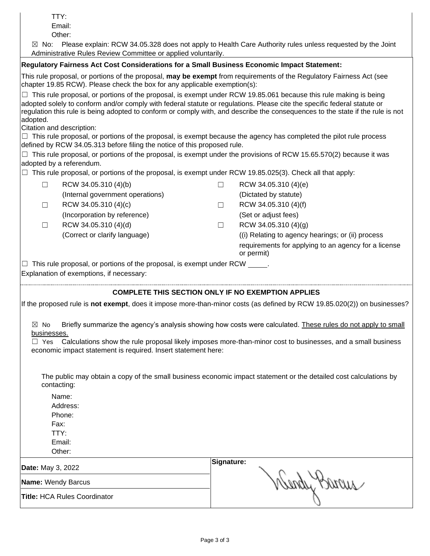|                                                                                                                                                                                                                                                                                                                                                                                                                                                                                                                                                      | TTY:<br>Email:                                                                                                                                                                                    |         |                                                                                                                          |  |  |  |  |  |
|------------------------------------------------------------------------------------------------------------------------------------------------------------------------------------------------------------------------------------------------------------------------------------------------------------------------------------------------------------------------------------------------------------------------------------------------------------------------------------------------------------------------------------------------------|---------------------------------------------------------------------------------------------------------------------------------------------------------------------------------------------------|---------|--------------------------------------------------------------------------------------------------------------------------|--|--|--|--|--|
| Other:<br>Please explain: RCW 34.05.328 does not apply to Health Care Authority rules unless requested by the Joint<br>$\boxtimes$ No:                                                                                                                                                                                                                                                                                                                                                                                                               |                                                                                                                                                                                                   |         |                                                                                                                          |  |  |  |  |  |
|                                                                                                                                                                                                                                                                                                                                                                                                                                                                                                                                                      | Administrative Rules Review Committee or applied voluntarily.                                                                                                                                     |         |                                                                                                                          |  |  |  |  |  |
| Regulatory Fairness Act Cost Considerations for a Small Business Economic Impact Statement:                                                                                                                                                                                                                                                                                                                                                                                                                                                          |                                                                                                                                                                                                   |         |                                                                                                                          |  |  |  |  |  |
|                                                                                                                                                                                                                                                                                                                                                                                                                                                                                                                                                      | This rule proposal, or portions of the proposal, may be exempt from requirements of the Regulatory Fairness Act (see<br>chapter 19.85 RCW). Please check the box for any applicable exemption(s): |         |                                                                                                                          |  |  |  |  |  |
| This rule proposal, or portions of the proposal, is exempt under RCW 19.85.061 because this rule making is being<br>adopted solely to conform and/or comply with federal statute or regulations. Please cite the specific federal statute or<br>regulation this rule is being adopted to conform or comply with, and describe the consequences to the state if the rule is not<br>adopted.<br>Citation and description:<br>$\Box$ This rule proposal, or portions of the proposal, is exempt because the agency has completed the pilot rule process |                                                                                                                                                                                                   |         |                                                                                                                          |  |  |  |  |  |
|                                                                                                                                                                                                                                                                                                                                                                                                                                                                                                                                                      | defined by RCW 34.05.313 before filing the notice of this proposed rule.                                                                                                                          |         |                                                                                                                          |  |  |  |  |  |
|                                                                                                                                                                                                                                                                                                                                                                                                                                                                                                                                                      | adopted by a referendum.                                                                                                                                                                          |         | This rule proposal, or portions of the proposal, is exempt under the provisions of RCW 15.65.570(2) because it was       |  |  |  |  |  |
|                                                                                                                                                                                                                                                                                                                                                                                                                                                                                                                                                      | $\Box$ This rule proposal, or portions of the proposal, is exempt under RCW 19.85.025(3). Check all that apply:                                                                                   |         |                                                                                                                          |  |  |  |  |  |
| $\Box$                                                                                                                                                                                                                                                                                                                                                                                                                                                                                                                                               | RCW 34.05.310 (4)(b)                                                                                                                                                                              | $\Box$  | RCW 34.05.310 (4)(e)                                                                                                     |  |  |  |  |  |
|                                                                                                                                                                                                                                                                                                                                                                                                                                                                                                                                                      | (Internal government operations)                                                                                                                                                                  |         | (Dictated by statute)                                                                                                    |  |  |  |  |  |
| П                                                                                                                                                                                                                                                                                                                                                                                                                                                                                                                                                    | RCW 34.05.310 (4)(c)                                                                                                                                                                              | $\perp$ | RCW 34.05.310 (4)(f)                                                                                                     |  |  |  |  |  |
|                                                                                                                                                                                                                                                                                                                                                                                                                                                                                                                                                      | (Incorporation by reference)                                                                                                                                                                      |         | (Set or adjust fees)                                                                                                     |  |  |  |  |  |
| $\Box$                                                                                                                                                                                                                                                                                                                                                                                                                                                                                                                                               | RCW 34.05.310 (4)(d)                                                                                                                                                                              | П       | RCW 34.05.310 (4)(g)                                                                                                     |  |  |  |  |  |
|                                                                                                                                                                                                                                                                                                                                                                                                                                                                                                                                                      | (Correct or clarify language)                                                                                                                                                                     |         | (i) Relating to agency hearings; or (ii) process                                                                         |  |  |  |  |  |
|                                                                                                                                                                                                                                                                                                                                                                                                                                                                                                                                                      |                                                                                                                                                                                                   |         | requirements for applying to an agency for a license<br>or permit)                                                       |  |  |  |  |  |
|                                                                                                                                                                                                                                                                                                                                                                                                                                                                                                                                                      | $\Box$ This rule proposal, or portions of the proposal, is exempt under RCW $\_\_\_\_\_\,.$<br>Explanation of exemptions, if necessary:                                                           |         |                                                                                                                          |  |  |  |  |  |
|                                                                                                                                                                                                                                                                                                                                                                                                                                                                                                                                                      | COMPLETE THIS SECTION ONLY IF NO EXEMPTION APPLIES                                                                                                                                                |         |                                                                                                                          |  |  |  |  |  |
|                                                                                                                                                                                                                                                                                                                                                                                                                                                                                                                                                      |                                                                                                                                                                                                   |         | If the proposed rule is not exempt, does it impose more-than-minor costs (as defined by RCW 19.85.020(2)) on businesses? |  |  |  |  |  |
|                                                                                                                                                                                                                                                                                                                                                                                                                                                                                                                                                      |                                                                                                                                                                                                   |         | ⊠ No Briefly summarize the agency's analysis showing how costs were calculated. These rules do not apply to small        |  |  |  |  |  |
| businesses.<br>Calculations show the rule proposal likely imposes more-than-minor cost to businesses, and a small business<br>$\Box$ Yes<br>economic impact statement is required. Insert statement here:                                                                                                                                                                                                                                                                                                                                            |                                                                                                                                                                                                   |         |                                                                                                                          |  |  |  |  |  |
|                                                                                                                                                                                                                                                                                                                                                                                                                                                                                                                                                      | The public may obtain a copy of the small business economic impact statement or the detailed cost calculations by<br>contacting:                                                                  |         |                                                                                                                          |  |  |  |  |  |
|                                                                                                                                                                                                                                                                                                                                                                                                                                                                                                                                                      | Name:                                                                                                                                                                                             |         |                                                                                                                          |  |  |  |  |  |
|                                                                                                                                                                                                                                                                                                                                                                                                                                                                                                                                                      | Address:                                                                                                                                                                                          |         |                                                                                                                          |  |  |  |  |  |
|                                                                                                                                                                                                                                                                                                                                                                                                                                                                                                                                                      | Phone:                                                                                                                                                                                            |         |                                                                                                                          |  |  |  |  |  |
|                                                                                                                                                                                                                                                                                                                                                                                                                                                                                                                                                      | Fax:                                                                                                                                                                                              |         |                                                                                                                          |  |  |  |  |  |
|                                                                                                                                                                                                                                                                                                                                                                                                                                                                                                                                                      | TTY:                                                                                                                                                                                              |         |                                                                                                                          |  |  |  |  |  |
|                                                                                                                                                                                                                                                                                                                                                                                                                                                                                                                                                      | Email:<br>Other:                                                                                                                                                                                  |         |                                                                                                                          |  |  |  |  |  |
|                                                                                                                                                                                                                                                                                                                                                                                                                                                                                                                                                      |                                                                                                                                                                                                   |         |                                                                                                                          |  |  |  |  |  |
| Date: May 3, 2022                                                                                                                                                                                                                                                                                                                                                                                                                                                                                                                                    |                                                                                                                                                                                                   |         | Signature:                                                                                                               |  |  |  |  |  |
| Name: Wendy Barcus                                                                                                                                                                                                                                                                                                                                                                                                                                                                                                                                   |                                                                                                                                                                                                   |         |                                                                                                                          |  |  |  |  |  |
| sendy prouse<br><b>Title: HCA Rules Coordinator</b>                                                                                                                                                                                                                                                                                                                                                                                                                                                                                                  |                                                                                                                                                                                                   |         |                                                                                                                          |  |  |  |  |  |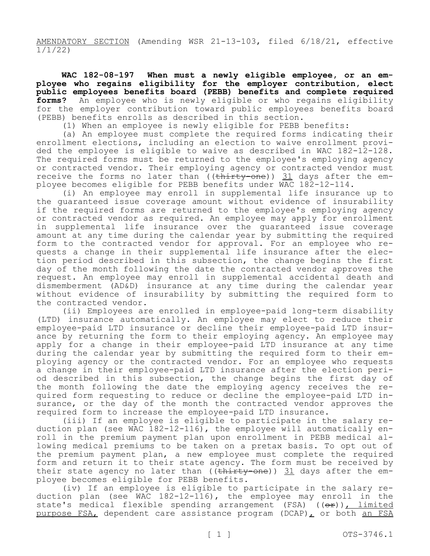AMENDATORY SECTION (Amending WSR 21-13-103, filed 6/18/21, effective 1/1/22)

**WAC 182-08-197 When must a newly eligible employee, or an employee who regains eligibility for the employer contribution, elect public employees benefits board (PEBB) benefits and complete required forms?** An employee who is newly eligible or who regains eligibility for the employer contribution toward public employees benefits board (PEBB) benefits enrolls as described in this section.

(1) When an employee is newly eligible for PEBB benefits:

(a) An employee must complete the required forms indicating their enrollment elections, including an election to waive enrollment provided the employee is eligible to waive as described in WAC 182-12-128. The required forms must be returned to the employee's employing agency or contracted vendor. Their employing agency or contracted vendor must receive the forms no later than  $((\text{thirty-one}))$  31 days after the employee becomes eligible for PEBB benefits under WAC 182-12-114.

(i) An employee may enroll in supplemental life insurance up to the guaranteed issue coverage amount without evidence of insurability if the required forms are returned to the employee's employing agency or contracted vendor as required. An employee may apply for enrollment in supplemental life insurance over the guaranteed issue coverage amount at any time during the calendar year by submitting the required form to the contracted vendor for approval. For an employee who requests a change in their supplemental life insurance after the election period described in this subsection, the change begins the first day of the month following the date the contracted vendor approves the request. An employee may enroll in supplemental accidental death and dismemberment (AD&D) insurance at any time during the calendar year without evidence of insurability by submitting the required form to the contracted vendor.

(ii) Employees are enrolled in employee-paid long-term disability (LTD) insurance automatically. An employee may elect to reduce their employee-paid LTD insurance or decline their employee-paid LTD insurance by returning the form to their employing agency. An employee may apply for a change in their employee-paid LTD insurance at any time during the calendar year by submitting the required form to their employing agency or the contracted vendor. For an employee who requests a change in their employee-paid LTD insurance after the election period described in this subsection, the change begins the first day of the month following the date the employing agency receives the required form requesting to reduce or decline the employee-paid LTD insurance, or the day of the month the contracted vendor approves the required form to increase the employee-paid LTD insurance.

(iii) If an employee is eligible to participate in the salary reduction plan (see WAC 182-12-116), the employee will automatically enroll in the premium payment plan upon enrollment in PEBB medical allowing medical premiums to be taken on a pretax basis. To opt out of the premium payment plan, a new employee must complete the required form and return it to their state agency. The form must be received by their state agency no later than (( $\frac{thitty-one}{)}$ ) 31 days after the employee becomes eligible for PEBB benefits.

(iv) If an employee is eligible to participate in the salary reduction plan (see WAC 182-12-116), the employee may enroll in the state's medical flexible spending arrangement (FSA) ((or)), limited purpose FSA, dependent care assistance program (DCAP), or both an FSA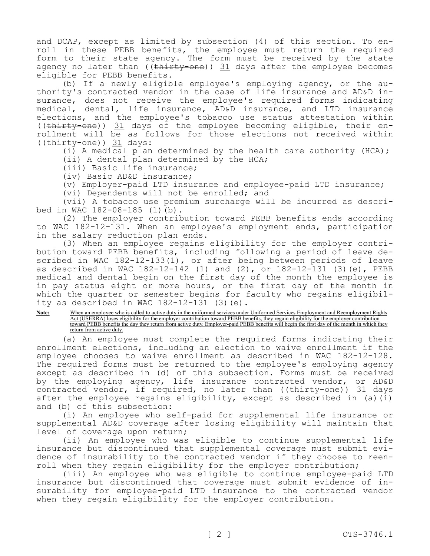and DCAP, except as limited by subsection (4) of this section. To enroll in these PEBB benefits, the employee must return the required form to their state agency. The form must be received by the state agency no later than  $((\text{thirty-one}))$  31 days after the employee becomes eligible for PEBB benefits.

(b) If a newly eligible employee's employing agency, or the authority's contracted vendor in the case of life insurance and AD&D insurance, does not receive the employee's required forms indicating medical, dental, life insurance, AD&D insurance, and LTD insurance elections, and the employee's tobacco use status attestation within ((thirty-one)) 31 days of the employee becoming eligible, their enrollment will be as follows for those elections not received within  $((\text{thirty-one})$ ) 31 days:

(i) A medical plan determined by the health care authority (HCA);

(ii) A dental plan determined by the HCA;

(iii) Basic life insurance;

(iv) Basic AD&D insurance;

(v) Employer-paid LTD insurance and employee-paid LTD insurance;

(vi) Dependents will not be enrolled; and

(vii) A tobacco use premium surcharge will be incurred as described in WAC 182-08-185 (1)(b).

(2) The employer contribution toward PEBB benefits ends according to WAC 182-12-131. When an employee's employment ends, participation in the salary reduction plan ends.

(3) When an employee regains eligibility for the employer contribution toward PEBB benefits, including following a period of leave described in WAC 182-12-133(1), or after being between periods of leave as described in WAC 182-12-142 (1) and (2), or 182-12-131 (3)(e), PEBB medical and dental begin on the first day of the month the employee is in pay status eight or more hours, or the first day of the month in which the quarter or semester begins for faculty who regains eligibility as described in WAC  $182-12-131$  (3)(e).

## Note: When an employee who is called to active duty in the uniformed services under Uniformed Services Employment and Reemployment Rights Act (USERRA) loses eligibility for the employer contribution toward PEBB benefits, they regain eligibility for the employer contribution toward PEBB benefits the day they return from active duty. Employer-paid PEBB benefits will begin the first day of the month in which they return from active duty.

(a) An employee must complete the required forms indicating their enrollment elections, including an election to waive enrollment if the employee chooses to waive enrollment as described in WAC 182-12-128. The required forms must be returned to the employee's employing agency except as described in (d) of this subsection. Forms must be received by the employing agency, life insurance contracted vendor, or AD&D contracted vendor, if required, no later than (( $\text{thirty-one}$ )) 31 days after the employee regains eligibility, except as described in (a)(i) and (b) of this subsection:

(i) An employee who self-paid for supplemental life insurance or supplemental AD&D coverage after losing eligibility will maintain that level of coverage upon return;

(ii) An employee who was eligible to continue supplemental life insurance but discontinued that supplemental coverage must submit evidence of insurability to the contracted vendor if they choose to reenroll when they regain eligibility for the employer contribution;

(iii) An employee who was eligible to continue employee-paid LTD insurance but discontinued that coverage must submit evidence of insurability for employee-paid LTD insurance to the contracted vendor when they regain eligibility for the employer contribution.